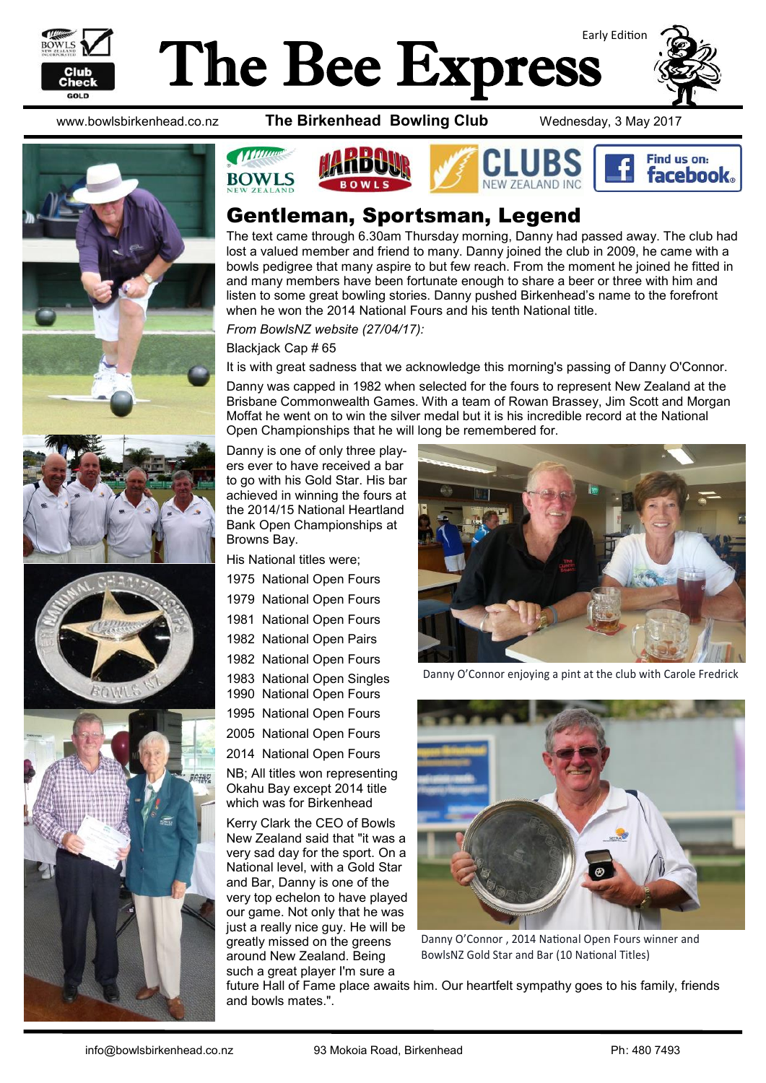

# Early Edition The Bee Express





www.bowlsbirkenhead.co.nz **The Birkenhead Bowling Club** Wednesday, 3 May 2017





#### Gentleman, Sportsman, Legend

The text came through 6.30am Thursday morning, Danny had passed away. The club had lost a valued member and friend to many. Danny joined the club in 2009, he came with a bowls pedigree that many aspire to but few reach. From the moment he joined he fitted in and many members have been fortunate enough to share a beer or three with him and listen to some great bowling stories. Danny pushed Birkenhead's name to the forefront when he won the 2014 National Fours and his tenth National title.

*From BowlsNZ website (27/04/17):*

Blackiack Cap # 65

It is with great sadness that we acknowledge this morning's passing of Danny O'Connor.

Danny was capped in 1982 when selected for the fours to represent New Zealand at the Brisbane Commonwealth Games. With a team of Rowan Brassey, Jim Scott and Morgan Moffat he went on to win the silver medal but it is his incredible record at the National Open Championships that he will long be remembered for.

Danny is one of only three players ever to have received a bar to go with his Gold Star. His bar achieved in winning the fours at the 2014/15 National Heartland Bank Open Championships at Browns Bay.

His National titles were;

- 1975 National Open Fours
- 1979 National Open Fours
- 1981 National Open Fours
- 1982 National Open Pairs
- 1982 National Open Fours
- 1983 National Open Singles
- 1990 National Open Fours 1995 National Open Fours
- 
- 2005 National Open Fours
- 2014 National Open Fours

NB; All titles won representing Okahu Bay except 2014 title which was for Birkenhead

Kerry Clark the CEO of Bowls New Zealand said that "it was a very sad day for the sport. On a National level, with a Gold Star and Bar, Danny is one of the very top echelon to have played our game. Not only that he was just a really nice guy. He will be greatly missed on the greens around New Zealand. Being such a great player I'm sure a



Danny O'Connor enjoying a pint at the club with Carole Fredrick



Danny O'Connor , 2014 National Open Fours winner and BowlsNZ Gold Star and Bar (10 National Titles)

future Hall of Fame place awaits him. Our heartfelt sympathy goes to his family, friends and bowls mates.".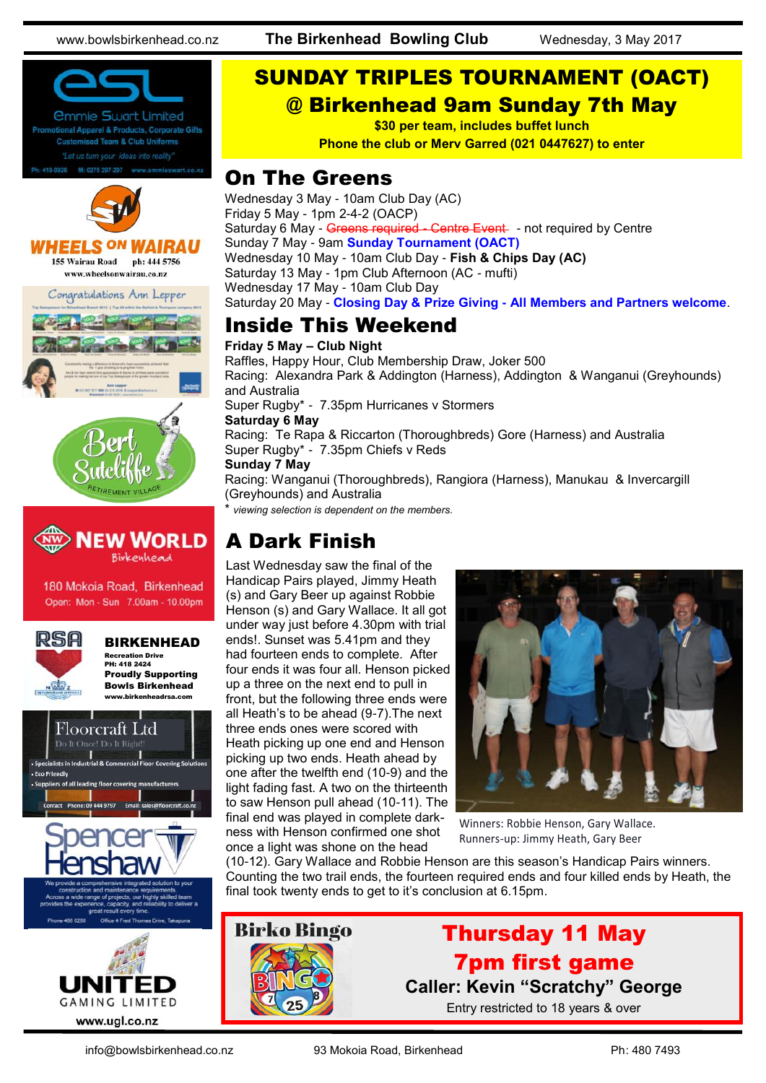www.bowlsbirkenhead.co.nz **The Birkenhead Bowling Club** Wednesday, 3 May 2017





 $N$ 

Recreation Drive PH: 418 2424 Proudly Supporting Bowls Birkenhead www.birkenheadrsa.com



**GAMING LIMITED** www.ugl.co.nz

#### SUNDAY TRIPLES TOURNAMENT (OACT) @ Birkenhead 9am Sunday 7th May

**\$30 per team, includes buffet lunch**

**Phone the club or Merv Garred (021 0447627) to enter**

#### On The Greens

Wednesday 3 May - 10am Club Day (AC) Friday 5 May - 1pm 2-4-2 (OACP) Saturday 6 May - Greens required - Centre Event - not required by Centre Sunday 7 May - 9am **Sunday Tournament (OACT)** Wednesday 10 May - 10am Club Day - **Fish & Chips Day (AC)** Saturday 13 May - 1pm Club Afternoon (AC - mufti) Wednesday 17 May - 10am Club Day Saturday 20 May - **Closing Day & Prize Giving - All Members and Partners welcome**.

### Inside This Weekend

**Friday 5 May – Club Night** Raffles, Happy Hour, Club Membership Draw, Joker 500 Racing: Alexandra Park & Addington (Harness), Addington & Wanganui (Greyhounds) and Australia Super Rugby\* - 7.35pm Hurricanes v Stormers **Saturday 6 May** Racing: Te Rapa & Riccarton (Thoroughbreds) Gore (Harness) and Australia Super Rugby\* - 7.35pm Chiefs v Reds **Sunday 7 May** Racing: Wanganui (Thoroughbreds), Rangiora (Harness), Manukau & Invercargill (Greyhounds) and Australia viewing selection is dependent on the members.

### A Dark Finish

Last Wednesday saw the final of the Handicap Pairs played, Jimmy Heath (s) and Gary Beer up against Robbie Henson (s) and Gary Wallace. It all got under way just before 4.30pm with trial ends!. Sunset was 5.41pm and they had fourteen ends to complete. After four ends it was four all. Henson picked up a three on the next end to pull in front, but the following three ends were all Heath's to be ahead (9-7).The next three ends ones were scored with Heath picking up one end and Henson picking up two ends. Heath ahead by one after the twelfth end (10-9) and the light fading fast. A two on the thirteenth to saw Henson pull ahead (10-11). The final end was played in complete darkness with Henson confirmed one shot once a light was shone on the head



Winners: Robbie Henson, Gary Wallace. Runners-up: Jimmy Heath, Gary Beer

(10-12). Gary Wallace and Robbie Henson are this season's Handicap Pairs winners. Counting the two trail ends, the fourteen required ends and four killed ends by Heath, the final took twenty ends to get to it's conclusion at 6.15pm.



#### Thursday 11 May 7pm first game **Caller: Kevin "Scratchy" George** Entry restricted to 18 years & over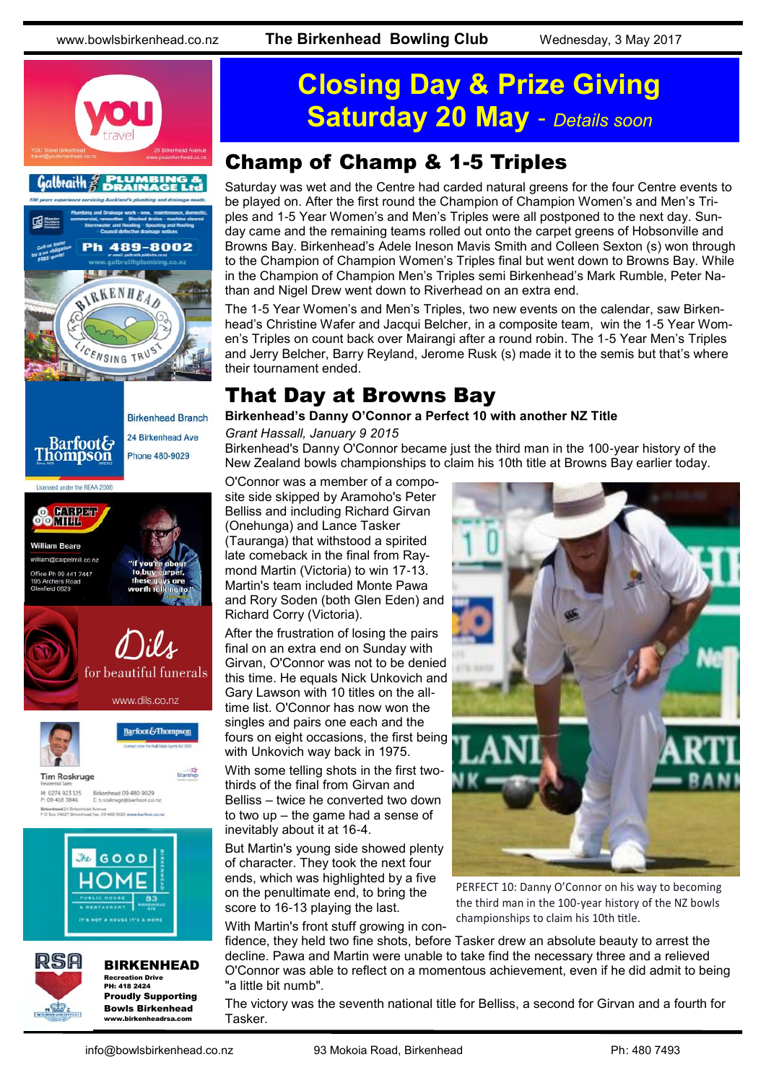









**Tim Roskruge** M: 0274 923 125 Birkenhead 09 480 9029<br>P: 09 418 3846 E troskruge@barfoot.co





BIRKENHEAD Recreation Drive PH: 418 2424 Proudly Supporting Bowls Birkenhead www.birkenheadrsa.com

Barfoot&Thompson

Starship

## **Closing Day & Prize Giving Saturday 20 May** - *Details soon*

#### Champ of Champ & 1-5 Triples

Saturday was wet and the Centre had carded natural greens for the four Centre events to be played on. After the first round the Champion of Champion Women's and Men's Triples and 1-5 Year Women's and Men's Triples were all postponed to the next day. Sunday came and the remaining teams rolled out onto the carpet greens of Hobsonville and Browns Bay. Birkenhead's Adele Ineson Mavis Smith and Colleen Sexton (s) won through to the Champion of Champion Women's Triples final but went down to Browns Bay. While in the Champion of Champion Men's Triples semi Birkenhead's Mark Rumble, Peter Nathan and Nigel Drew went down to Riverhead on an extra end.

The 1-5 Year Women's and Men's Triples, two new events on the calendar, saw Birkenhead's Christine Wafer and Jacqui Belcher, in a composite team, win the 1-5 Year Women's Triples on count back over Mairangi after a round robin. The 1-5 Year Men's Triples and Jerry Belcher, Barry Reyland, Jerome Rusk (s) made it to the semis but that's where their tournament ended.

#### That Day at Browns Bay

#### **Birkenhead's Danny O'Connor a Perfect 10 with another NZ Title**

#### *Grant Hassall, January 9 2015*

Birkenhead's Danny O'Connor became just the third man in the 100-year history of the New Zealand bowls championships to claim his 10th title at Browns Bay earlier today.

O'Connor was a member of a composite side skipped by Aramoho's Peter Belliss and including Richard Girvan (Onehunga) and Lance Tasker (Tauranga) that withstood a spirited late comeback in the final from Raymond Martin (Victoria) to win 17-13. Martin's team included Monte Pawa and Rory Soden (both Glen Eden) and Richard Corry (Victoria).

After the frustration of losing the pairs final on an extra end on Sunday with Girvan, O'Connor was not to be denied this time. He equals Nick Unkovich and Gary Lawson with 10 titles on the alltime list. O'Connor has now won the singles and pairs one each and the fours on eight occasions, the first being with Unkovich way back in 1975.

With some telling shots in the first twothirds of the final from Girvan and Belliss – twice he converted two down to two up – the game had a sense of inevitably about it at 16-4.

But Martin's young side showed plenty of character. They took the next four ends, which was highlighted by a five on the penultimate end, to bring the score to 16-13 playing the last.

With Martin's front stuff growing in con-

PERFECT 10: Danny O'Connor on his way to becoming the third man in the 100-year history of the NZ bowls championships to claim his 10th title.

fidence, they held two fine shots, before Tasker drew an absolute beauty to arrest the decline. Pawa and Martin were unable to take find the necessary three and a relieved O'Connor was able to reflect on a momentous achievement, even if he did admit to being "a little bit numb".

The victory was the seventh national title for Belliss, a second for Girvan and a fourth for Tasker.